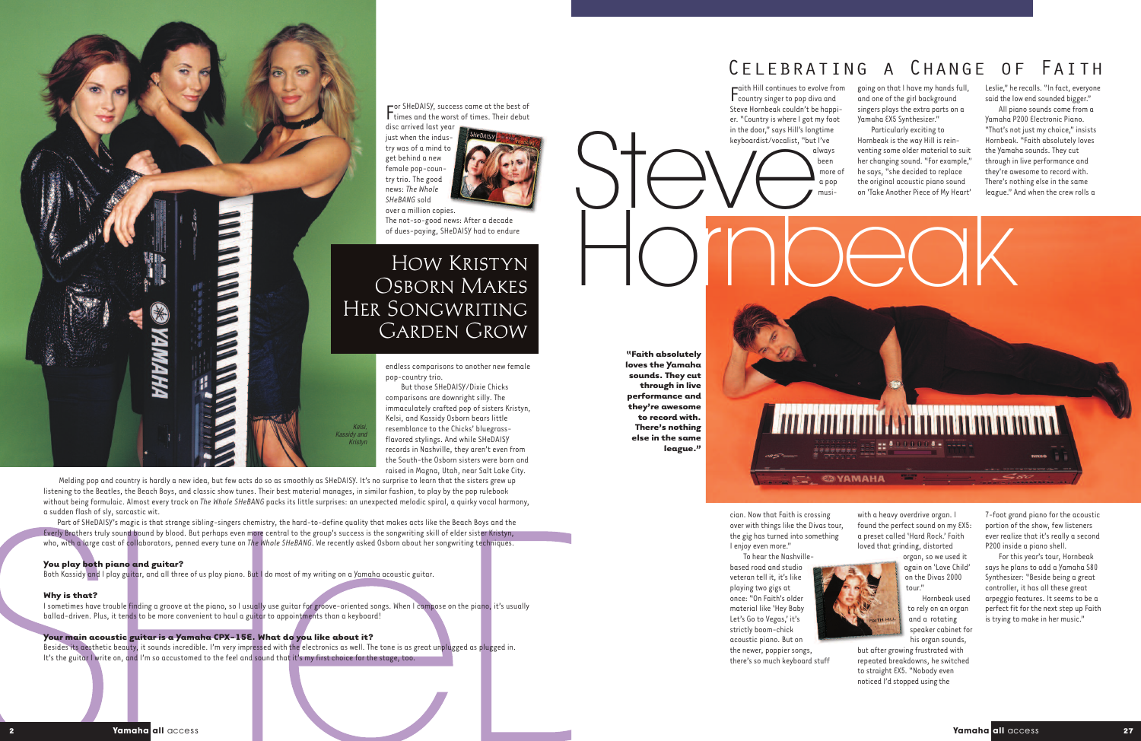

F or SHeDAISY, successcame at the best of  $\Gamma$  times and the worst of times. Their debut disc arrived lastyear

endlesscomparisons to another new female pop-country trio.

just when the industry was of a mind to get behind a new female pop-country trio. The good news: *The Whole SHeBANG* sold over a million copies.



The not-so-good news: After a decade of dues-paying, SHeDAISY had to endure

But those SHeDAISY/Dixie Chicks comparisons are downright silly. The immaculately crafted pop of sisters Kristyn, Kelsi, and Kassidy Osborn bears little resemblance to the Chicks' bluegrassflavored stylings. And while SHeDAISY records in Nashville, they aren't even from the South-the Osborn sisters were born and raised in Magna, Utah, near Salt Lake City.

Melding pop and countryis hardly a new idea, but few acts do so as smoothly as SHeDAISY. It's no surprise to learn that the sisters grew up listening to the Beatles, the Beach Boys, and classicshow tunes. Their best material manages, in similar fashion, to play bythe pop rulebook without being formulaic. Almost every track on *The Whole SHeBANG* packs its little surprises: an unexpected melodic spiral, a quirky vocal harmony, a sudden flash of sly, sarcastic wit.

cian. Now that Faith is crossing over with things like the Divas tour, the gig has turned into something I enjoy even more."

going on that I have my hands full, and one of the girl background singers plays the extra parts on a Yamaha EX5 Synthesizer."

### **You play both piano and guitar?**

Both Kassidy and I play guitar, and all three of us play piano. But I do most of my writing on a Yamaha acoustic guitar.

### **Why is that?**

organ, so we used it again on 'Love Child' on the Divas 2000 tour."

I sometimes have trouble finding a groove at the piano, so I usually use guitar for groove-oriented songs. When Icompose on the piano, it's usually ballad-driven. Plus, it tends to be more convenient to haul a guitar to appointments than a keyboard!

## Leslie," he recalls. "In fact, everyone said the low end sounded bigger."

## **Your main acoustic guitar is a Yamaha CPX-15E. What do you like about it?**

All piano sounds come from a Yamaha P200 Electronic Piano. "That's not just mychoice," insists Hornbeak. "Faith absolutely loves the Yamaha sounds. They cut through in live performance and they're awesome to record with. There's nothing else in the same league." And when the crew rolls a

Besides its aesthetic beauty, it sounds incredible. I'm veryimpressed with the electronics as well. The tone is as great unplugged as plugged in. It's the guitar I write on, and I'm so accustomed to the feel and sound that it's myfirstchoice for the stage, too.

## How Kristyn Osborn Makes Her Songwriting Garden Grow

*Kelsi, Kassidy and Kristyn*

Part of SHeDAISY's magic is that strange sibling-singers chemistry, the hard-to-define quality that makes acts like the Beach Boys and the Everly Brothers truly sound bound by blood. But perhaps even more central to the group's success is the songwriting skill of elder sister Kristyn, who, with a large cast of collaborators, penned every tune on *The Whole SHeBANG*. We recently asked Osborn about her songwriting techniques.

F countrysinger to pop diva and  $\n *right*$  Hill continues to evolve from Steve Hornbeak couldn't be happier. "Country is where I got my foot in the door," says Hill's longtime keyboardist/vocalist, "but I've always

> been more of a pop musi-

To hear the Nashvillebased road and studio veteran tell it, it's like playing two gigs at once: "On Faith's older material like 'Hey Baby Let's Go to Vegas,' it's strictly boom-chick acoustic piano. But on



the newer, poppier songs, there's so much keyboard stuff

Particularly exciting to Hornbeak is the way Hill is reinventing some older material to suit her changing sound. "For example," he says, "she decided to replace the original acoustic piano sound on 'Take Another Piece of My Heart'

with a heavy overdrive organ. I found the perfect sound on my EX5: a preset called 'Hard Rock.' Faith loved that grinding, distorted



Hornbeak used to rely on an organ and a rotating speaker cabinet for his organ sounds,

but after growing frustrated with repeated breakdowns, he switched to straight EX5. "Nobody even noticed I'd stopped using the

7-foot grand piano for the acoustic portion of the show, few listeners ever realize that it's really a second P200 inside a piano shell.

For this year's tour, Hornbeak says he plansto add a Yamaha S80 Synthesizer: "Beside being a great controller, it has all these great arpeggio features. It seems to be a perfect fit for the next step up Faith is trying to make in her music."

# Celebrating a Change of Faith